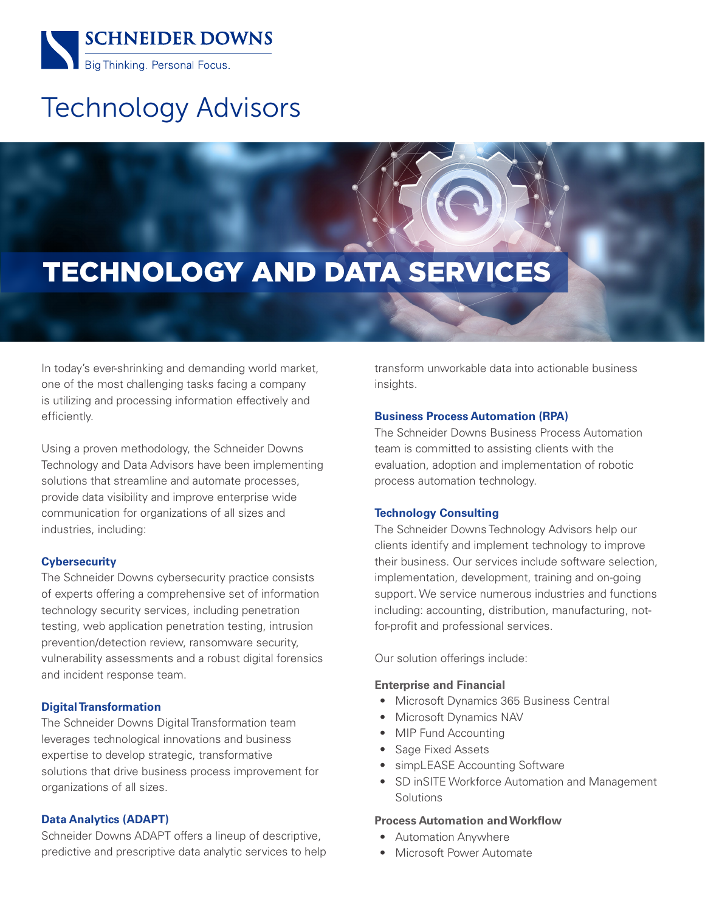

# Technology Advisors

# TECHNOLOGY AND DATA SERVICES

In today's ever-shrinking and demanding world market, one of the most challenging tasks facing a company is utilizing and processing information effectively and efficiently.

Using a proven methodology, the Schneider Downs Technology and Data Advisors have been implementing solutions that streamline and automate processes, provide data visibility and improve enterprise wide communication for organizations of all sizes and industries, including:

# **Cybersecurity**

The Schneider Downs cybersecurity practice consists of experts offering a comprehensive set of information technology security services, including penetration testing, web application penetration testing, intrusion prevention/detection review, ransomware security, vulnerability assessments and a robust digital forensics and incident response team.

# **Digital Transformation**

The Schneider Downs Digital Transformation team leverages technological innovations and business expertise to develop strategic, transformative solutions that drive business process improvement for organizations of all sizes.

# **Data Analytics (ADAPT)**

Schneider Downs ADAPT offers a lineup of descriptive, predictive and prescriptive data analytic services to help transform unworkable data into actionable business insights.

### **Business Process Automation (RPA)**

The Schneider Downs Business Process Automation team is committed to assisting clients with the evaluation, adoption and implementation of robotic process automation technology.

# **Technology Consulting**

The Schneider Downs Technology Advisors help our clients identify and implement technology to improve their business. Our services include software selection, implementation, development, training and on-going support. We service numerous industries and functions including: accounting, distribution, manufacturing, notfor-profit and professional services.

Our solution offerings include:

#### **Enterprise and Financial**

- Microsoft Dynamics 365 Business Central
- Microsoft Dynamics NAV
- MIP Fund Accounting
- Sage Fixed Assets
- simpLEASE Accounting Software
- SD inSITE Workforce Automation and Management Solutions

### **Process Automation and Workflow**

- Automation Anywhere
- Microsoft Power Automate